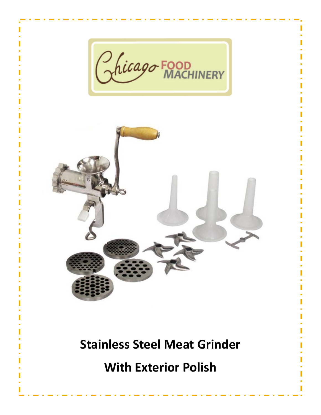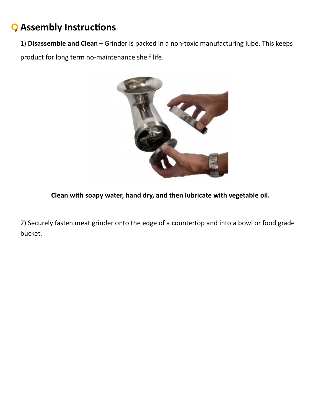# **Assembly Instructions** v

1) **Disassemble and Clean** – Grinder is packed in a non-toxic manufacturing lube. This keeps

product for long term no-maintenance shelf life.



**Clean with soapy water, hand dry, and then lubricate with vegetable oil.**

2) Securely fasten meat grinder onto the edge of a countertop and into a bowl or food grade bucket.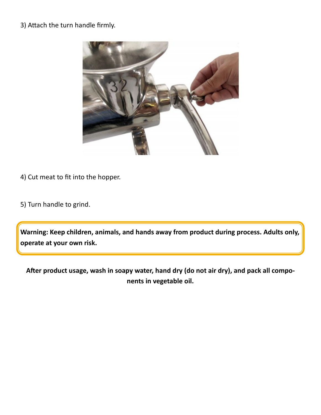# 3) Attach the turn handle firmly.



- 4) Cut meat to fit into the hopper.
- 5) Turn handle to grind.

**Warning: Keep children, animals, and hands away from product during process. Adults only, operate at your own risk.**

**After product usage, wash in soapy water, hand dry (do not air dry), and pack all components in vegetable oil.**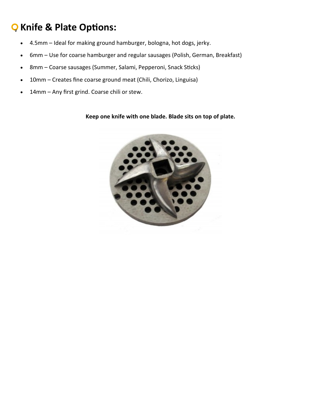# **Knife & Plate Options:** v

- 4.5mm Ideal for making ground hamburger, bologna, hot dogs, jerky.
- 6mm Use for coarse hamburger and regular sausages (Polish, German, Breakfast)
- 8mm Coarse sausages (Summer, Salami, Pepperoni, Snack Sticks)
- 10mm Creates fine coarse ground meat (Chili, Chorizo, Linguisa)
- 14mm Any first grind. Coarse chili or stew.

## **Keep one knife with one blade. Blade sits on top of plate.**

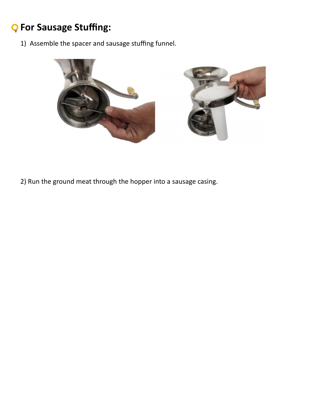# **For Sausage Stuffing:** v

1) Assemble the spacer and sausage stuffing funnel.



2) Run the ground meat through the hopper into a sausage casing.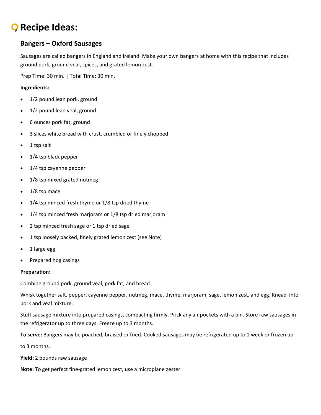# **Recipe Ideas:** v

## **Bangers – Oxford Sausages**

Sausages are called bangers in England and Ireland. Make your own bangers at home with this recipe that includes ground pork, ground veal, spices, and grated lemon zest.

Prep Time: 30 min. | Total Time: 30 min.

## **Ingredients:**

- 1/2 pound lean pork, ground
- 1/2 pound lean veal, ground
- 6 ounces pork fat, ground
- 3 slices white bread with crust, crumbled or finely chopped
- $\bullet$  1 tsp salt
- 1/4 tsp black pepper
- 1/4 tsp cayenne pepper
- 1/8 tsp mixed grated nutmeg
- 1/8 tsp mace
- 1/4 tsp minced fresh thyme or 1/8 tsp dried thyme
- 1/4 tsp minced fresh marjoram or 1/8 tsp dried marjoram
- 2 tsp minced fresh sage or 1 tsp dried sage
- 1 tsp loosely packed, finely grated lemon zest (see Note)
- 1 large egg
- Prepared hog casings

### **Preparation:**

Combine ground pork, ground veal, pork fat, and bread.

Whisk together salt, pepper, cayenne pepper, nutmeg, mace, thyme, marjoram, sage, lemon zest, and egg. Knead into pork and veal mixture.

Stuff sausage mixture into prepared casings, compacting firmly. Prick any air pockets with a pin. Store raw sausages in the refrigerator up to three days. Freeze up to 3 months.

**To serve:** Bangers may be poached, braised or fried. Cooked sausages may be refrigerated up to 1 week or frozen up

to 3 months.

**Yield:** 2 pounds raw sausage

**Note:** To get perfect fine-grated lemon zest, use a microplane zester.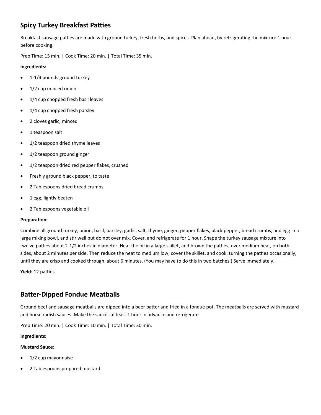# **Spicy Turkey Breakfast Patties**

Breakfast sausage patties are made with ground turkey, fresh herbs, and spices. Plan ahead, by refrigerating the mixture 1 hour before cooking.

Prep Time: 15 min. | Cook Time: 20 min. | Total Time: 35 min.

### **Ingredients:**

- 1-1/4 pounds ground turkey
- 1/2 cup minced onion
- 1/4 cup chopped fresh basil leaves
- 1/4 cup chopped fresh parsley
- 2 cloves garlic, minced
- 1 teaspoon salt
- 1/2 teaspoon dried thyme leaves
- 1/2 teaspoon ground ginger
- 1/2 teaspoon dried red pepper flakes, crushed
- **•** Freshly ground black pepper, to taste
- 2 Tablespoons dried bread crumbs
- 1 egg, lightly beaten
- 2 Tablespoons vegetable oil

### **Preparation:**

Combine all ground turkey, onion, basil, parsley, garlic, salt, thyme, ginger, pepper flakes, black pepper, bread crumbs, and egg in a large mixing bowl, and stir well but do not over mix. Cover, and refrigerate for 1 hour. Shape the turkey sausage mixture into twelve patties about 2-1/2 inches in diameter. Heat the oil in a large skillet, and brown the patties, over medium heat, on both sides, about 2 minutes per side. Then reduce the heat to medium low, cover the skillet, and cook, turning the patties occasionally, until they are crisp and cooked through, about 6 minutes. (You may have to do this in two batches.) Serve immediately.

**Yield:** 12 patties

## **Batter-Dipped Fondue Meatballs**

Ground beef and sausage meatballs are dipped into a beer batter and fried in a fondue pot. The meatballs are served with mustard and horse radish sauces. Make the sauces at least 1 hour in advance and refrigerate.

Prep Time: 20 min. | Cook Time: 10 min. | Total Time: 30 min.

### **Ingredients:**

### **Mustard Sauce:**

- 1/2 cup mayonnaise
- 2 Tablespoons prepared mustard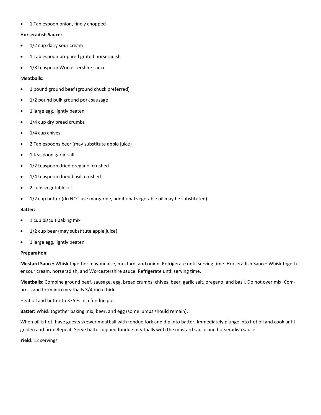• 1 Tablespoon onion, finely chopped

#### **Horseradish Sauce:**

- 1/2 cup dairy sour cream
- 1 Tablespoon prepared grated horseradish
- 1/8 teaspoon Worcestershire sauce

#### **Meatballs:**

- 1 pound ground beef (ground chuck preferred)
- 1/2 pound bulk ground pork sausage
- 1 large egg, lightly beaten
- 1/4 cup dry bread crumbs
- $\bullet$  1/4 cup chives
- 2 Tablespoons beer (may substitute apple juice)
- 1 teaspoon garlic salt
- 1/2 teaspoon dried oregano, crushed
- 1/4 teaspoon dried basil, crushed
- 2 cups vegetable oil
- 1/2 cup butter (do NOT use margarine, additional vegetable oil may be substituted)

#### **Batter:**

- 1 cup biscuit baking mix
- 1/2 cup beer (may substitute apple juice)
- 1 large egg, lightly beaten

#### **Preparation:**

**Mustard Sauce:** Whisk together mayonnaise, mustard, and onion. Refrigerate until serving time. Horseradish Sauce: Whisk together sour cream, horseradish, and Worcestershire sauce. Refrigerate until serving time.

**Meatballs:** Combine ground beef, sausage, egg, bread crumbs, chives, beer, garlic salt, oregano, and basil. Do not over mix. Compress and form into meatballs 3/4-inch thick.

Heat oil and butter to 375 F. in a fondue pot.

**Batter:** Whisk together baking mix, beer, and egg (some lumps should remain).

When oil is hot, have guests skewer meatball with fondue fork and dip into batter. Immediately plunge into hot oil and cook until golden and firm. Repeat. Serve batter-dipped fondue meatballs with the mustard sauce and horseradish sauce.

**Yield:** 12 servings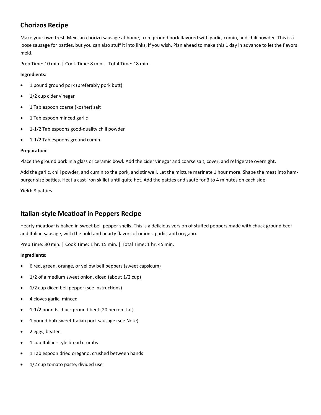# **Chorizos Recipe**

Make your own fresh Mexican chorizo sausage at home, from ground pork flavored with garlic, cumin, and chili powder. This is a loose sausage for patties, but you can also stuff it into links, if you wish. Plan ahead to make this 1 day in advance to let the flavors meld.

Prep Time: 10 min. | Cook Time: 8 min. | Total Time: 18 min.

### **Ingredients:**

- 1 pound ground pork (preferably pork butt)
- 1/2 cup cider vinegar
- 1 Tablespoon coarse (kosher) salt
- 1 Tablespoon minced garlic
- 1-1/2 Tablespoons good-quality chili powder
- 1-1/2 Tablespoons ground cumin

### **Preparation:**

Place the ground pork in a glass or ceramic bowl. Add the cider vinegar and coarse salt, cover, and refrigerate overnight.

Add the garlic, chili powder, and cumin to the pork, and stir well. Let the mixture marinate 1 hour more. Shape the meat into hamburger-size patties. Heat a cast-iron skillet until quite hot. Add the patties and sauté for 3 to 4 minutes on each side.

**Yield:** 8 patties

## **Italian-style Meatloaf in Peppers Recipe**

Hearty meatloaf is baked in sweet bell pepper shells. This is a delicious version of stuffed peppers made with chuck ground beef and Italian sausage, with the bold and hearty flavors of onions, garlic, and oregano.

Prep Time: 30 min. | Cook Time: 1 hr. 15 min. | Total Time: 1 hr. 45 min.

### **Ingredients:**

- 6 red, green, orange, or yellow bell peppers (sweet capsicum)
- 1/2 of a medium sweet onion, diced (about 1/2 cup)
- 1/2 cup diced bell pepper (see instructions)
- 4 cloves garlic, minced
- 1-1/2 pounds chuck ground beef (20 percent fat)
- 1 pound bulk sweet Italian pork sausage (see Note)
- 2 eggs, beaten
- 1 cup Italian-style bread crumbs
- 1 Tablespoon dried oregano, crushed between hands
- 1/2 cup tomato paste, divided use